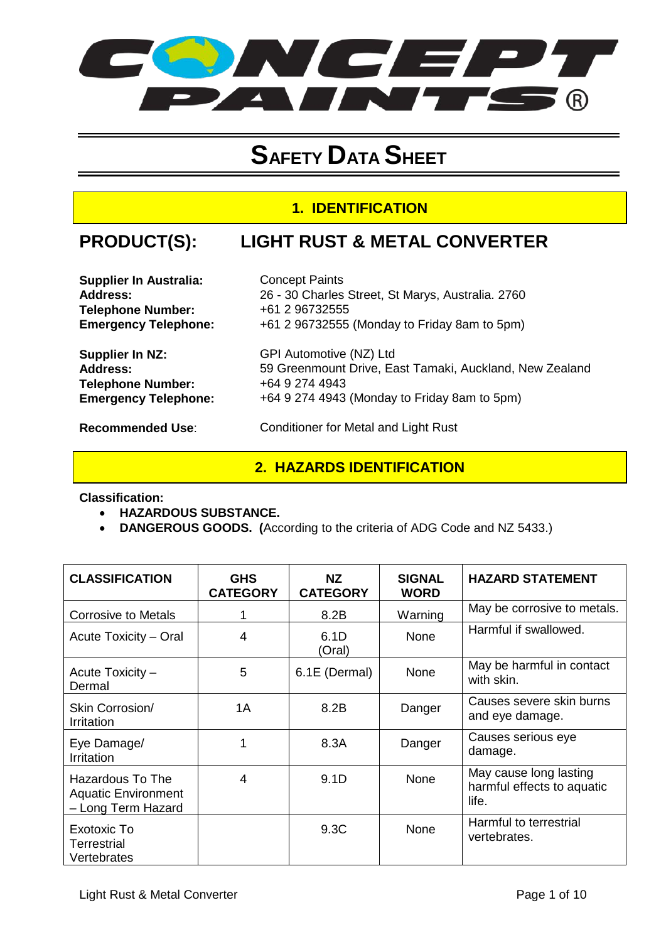

# **SAFETY DATA SHEET**

### **1. IDENTIFICATION**

## **PRODUCT(S): LIGHT RUST & METAL CONVERTER**

| <b>Supplier In Australia:</b> | <b>Concept Paints</b> |
|-------------------------------|-----------------------|
| <b>Address:</b>               | 26 - 30 Charles       |
| <b>Telephone Number:</b>      | +61 2 96732555        |
| <b>Emergency Telephone:</b>   | +61 2 96732555        |

| Supplier In Australia:      | <b>Concept Paints</b>                             |
|-----------------------------|---------------------------------------------------|
| <b>Address:</b>             | 26 - 30 Charles Street, St Marys, Australia. 2760 |
| <b>Telephone Number:</b>    | +61 2 96732555                                    |
| <b>Emergency Telephone:</b> | +61 2 96732555 (Monday to Friday 8am to 5pm)      |

**Address:** 59 Greenmount Drive, East Tamaki, Auckland, New Zealand

**Supplier In NZ:** GPI Automotive (NZ) Ltd<br> **Address:** 59 Greenmount Drive, Ea **Telephone Number:** +64 9 274 4943 **Emergency Telephone:** +64 9 274 4943 (Monday to Friday 8am to 5pm)

**Recommended Use:** Conditioner for Metal and Light Rust

#### **2. HAZARDS IDENTIFICATION**

**Classification:** 

- **HAZARDOUS SUBSTANCE.**
- **DANGEROUS GOODS. (**According to the criteria of ADG Code and NZ 5433.)

| <b>CLASSIFICATION</b>                                                | <b>GHS</b><br><b>CATEGORY</b> | NZ.<br><b>CATEGORY</b> | <b>SIGNAL</b><br><b>WORD</b> | <b>HAZARD STATEMENT</b>                                       |
|----------------------------------------------------------------------|-------------------------------|------------------------|------------------------------|---------------------------------------------------------------|
| <b>Corrosive to Metals</b>                                           |                               | 8.2B                   | Warning                      | May be corrosive to metals.                                   |
| Acute Toxicity – Oral                                                | 4                             | 6.1D<br>(Oral)         | None                         | Harmful if swallowed.                                         |
| Acute Toxicity -<br>Dermal                                           | 5                             | 6.1E (Dermal)          | None                         | May be harmful in contact<br>with skin.                       |
| Skin Corrosion/<br>Irritation                                        | 1A                            | 8.2B                   | Danger                       | Causes severe skin burns<br>and eye damage.                   |
| Eye Damage/<br>Irritation                                            |                               | 8.3A                   | Danger                       | Causes serious eye<br>damage.                                 |
| Hazardous To The<br><b>Aquatic Environment</b><br>- Long Term Hazard | 4                             | 9.1D                   | None                         | May cause long lasting<br>harmful effects to aquatic<br>life. |
| Exotoxic To<br>Terrestrial<br>Vertebrates                            |                               | 9.3C                   | None                         | Harmful to terrestrial<br>vertebrates.                        |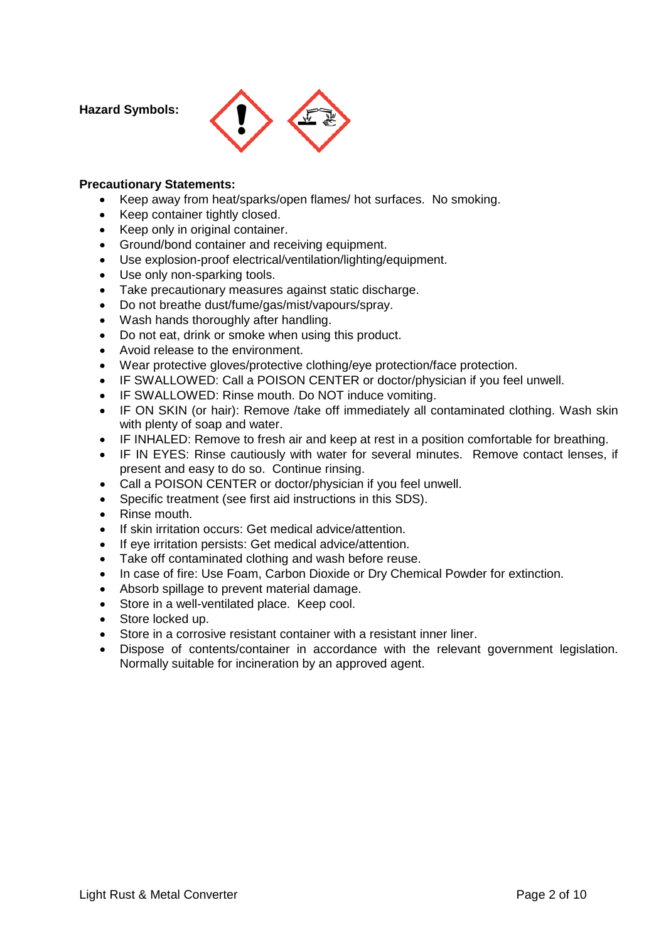**Hazard Symbols:** 



#### **Precautionary Statements:**

- Keep away from heat/sparks/open flames/ hot surfaces. No smoking.
- Keep container tightly closed.
- Keep only in original container.
- Ground/bond container and receiving equipment.
- Use explosion-proof electrical/ventilation/lighting/equipment.
- Use only non-sparking tools.
- Take precautionary measures against static discharge.
- Do not breathe dust/fume/gas/mist/vapours/spray.
- Wash hands thoroughly after handling.
- Do not eat, drink or smoke when using this product.
- Avoid release to the environment.
- Wear protective gloves/protective clothing/eye protection/face protection.
- IF SWALLOWED: Call a POISON CENTER or doctor/physician if you feel unwell.
- IF SWALLOWED: Rinse mouth. Do NOT induce vomiting.
- IF ON SKIN (or hair): Remove /take off immediately all contaminated clothing. Wash skin with plenty of soap and water.
- IF INHALED: Remove to fresh air and keep at rest in a position comfortable for breathing.
- IF IN EYES: Rinse cautiously with water for several minutes. Remove contact lenses, if present and easy to do so. Continue rinsing.
- Call a POISON CENTER or doctor/physician if you feel unwell.
- Specific treatment (see first aid instructions in this SDS).
- Rinse mouth.
- If skin irritation occurs: Get medical advice/attention.
- If eye irritation persists: Get medical advice/attention.
- Take off contaminated clothing and wash before reuse.
- In case of fire: Use Foam, Carbon Dioxide or Dry Chemical Powder for extinction.
- Absorb spillage to prevent material damage.
- Store in a well-ventilated place. Keep cool.
- Store locked up.
- Store in a corrosive resistant container with a resistant inner liner.
- Dispose of contents/container in accordance with the relevant government legislation. Normally suitable for incineration by an approved agent.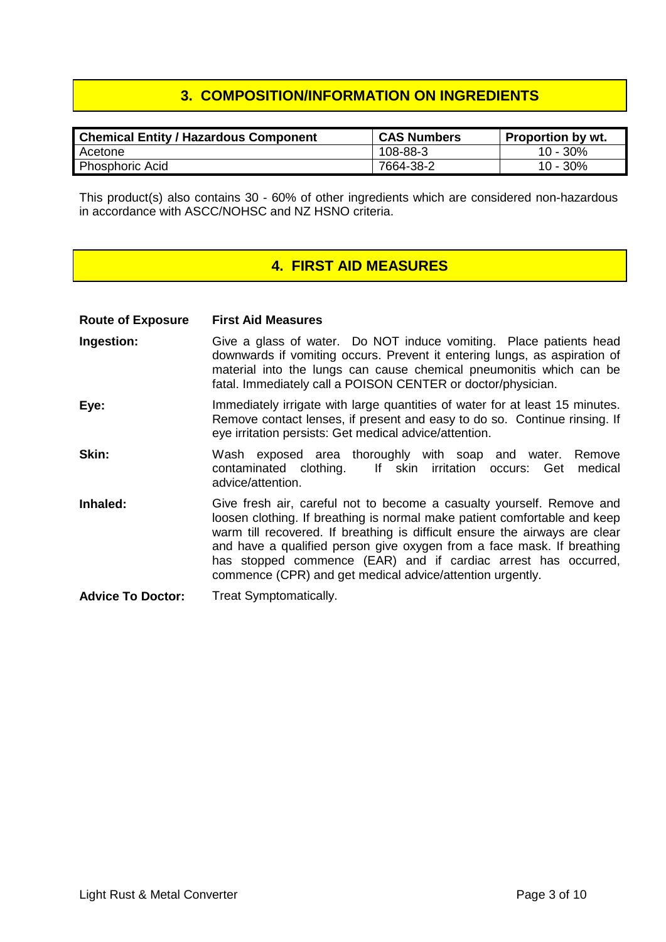### **3. COMPOSITION/INFORMATION ON INGREDIENTS**

| ' Chemical Entity / Hazardous Component | <b>CAS Numbers</b> | <b>Proportion by wt.</b> |
|-----------------------------------------|--------------------|--------------------------|
| Acetone                                 | 108-88-3           | 10 - 30%                 |
| <b>Phosphoric Acid</b>                  | 7664-38-2          | 10 - 30%                 |

This product(s) also contains 30 - 60% of other ingredients which are considered non-hazardous in accordance with ASCC/NOHSC and NZ HSNO criteria.

#### **4. FIRST AID MEASURES**

| <b>Route of Exposure</b> | <b>First Aid Measures</b>                                                                                                                                                                                                                                                                                                                                                                                                                  |
|--------------------------|--------------------------------------------------------------------------------------------------------------------------------------------------------------------------------------------------------------------------------------------------------------------------------------------------------------------------------------------------------------------------------------------------------------------------------------------|
| Ingestion:               | Give a glass of water. Do NOT induce vomiting. Place patients head<br>downwards if vomiting occurs. Prevent it entering lungs, as aspiration of<br>material into the lungs can cause chemical pneumonitis which can be<br>fatal. Immediately call a POISON CENTER or doctor/physician.                                                                                                                                                     |
| Eye:                     | Immediately irrigate with large quantities of water for at least 15 minutes.<br>Remove contact lenses, if present and easy to do so. Continue rinsing. If<br>eye irritation persists: Get medical advice/attention.                                                                                                                                                                                                                        |
| Skin:                    | Wash exposed area thoroughly with soap and water.<br>Remove<br>contaminated clothing. If skin irritation occurs: Get<br>medical<br>advice/attention.                                                                                                                                                                                                                                                                                       |
| Inhaled:                 | Give fresh air, careful not to become a casualty yourself. Remove and<br>loosen clothing. If breathing is normal make patient comfortable and keep<br>warm till recovered. If breathing is difficult ensure the airways are clear<br>and have a qualified person give oxygen from a face mask. If breathing<br>has stopped commence (EAR) and if cardiac arrest has occurred,<br>commence (CPR) and get medical advice/attention urgently. |
| <b>Advice To Doctor:</b> | Treat Symptomatically.                                                                                                                                                                                                                                                                                                                                                                                                                     |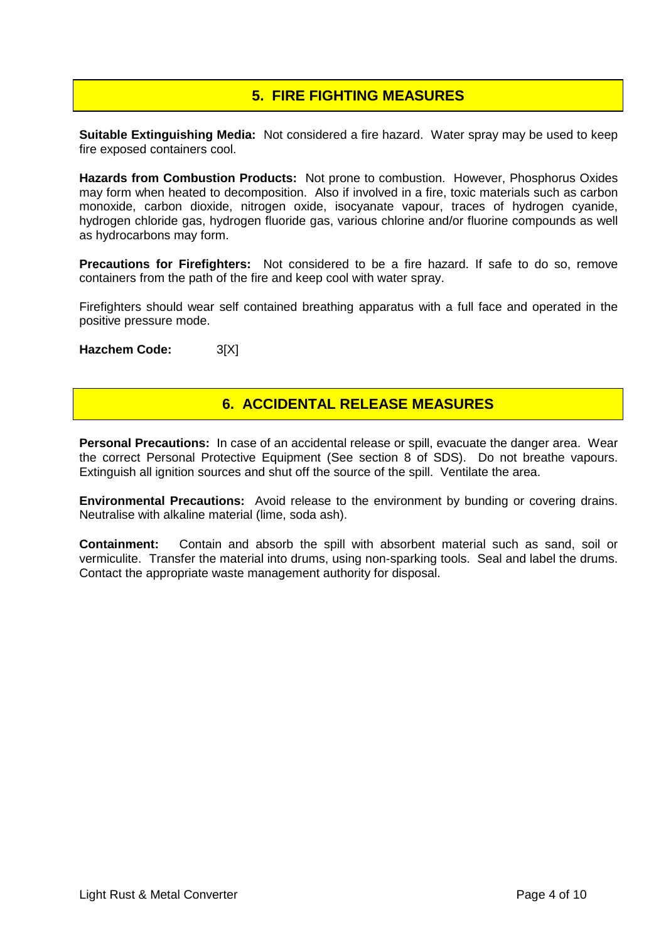## **5. FIRE FIGHTING MEASURES**

**Suitable Extinguishing Media:** Not considered a fire hazard. Water spray may be used to keep fire exposed containers cool.

**Hazards from Combustion Products:** Not prone to combustion. However, Phosphorus Oxides may form when heated to decomposition. Also if involved in a fire, toxic materials such as carbon monoxide, carbon dioxide, nitrogen oxide, isocyanate vapour, traces of hydrogen cyanide, hydrogen chloride gas, hydrogen fluoride gas, various chlorine and/or fluorine compounds as well as hydrocarbons may form.

**Precautions for Firefighters:** Not considered to be a fire hazard. If safe to do so, remove containers from the path of the fire and keep cool with water spray.

Firefighters should wear self contained breathing apparatus with a full face and operated in the positive pressure mode.

**Hazchem Code:** 3[X]

### **6. ACCIDENTAL RELEASE MEASURES**

**Personal Precautions:** In case of an accidental release or spill, evacuate the danger area. Wear the correct Personal Protective Equipment (See section 8 of SDS). Do not breathe vapours. Extinguish all ignition sources and shut off the source of the spill. Ventilate the area.

**Environmental Precautions:** Avoid release to the environment by bunding or covering drains. Neutralise with alkaline material (lime, soda ash).

**Containment:** Contain and absorb the spill with absorbent material such as sand, soil or vermiculite. Transfer the material into drums, using non-sparking tools. Seal and label the drums. Contact the appropriate waste management authority for disposal.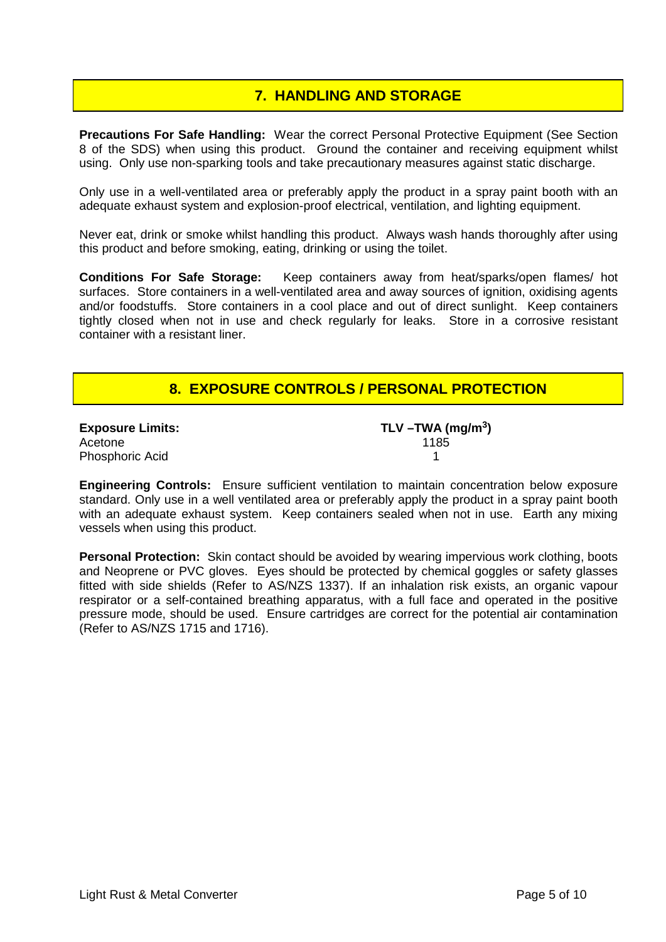### **7. HANDLING AND STORAGE**

**Precautions For Safe Handling:** Wear the correct Personal Protective Equipment (See Section 8 of the SDS) when using this product. Ground the container and receiving equipment whilst using. Only use non-sparking tools and take precautionary measures against static discharge.

Only use in a well-ventilated area or preferably apply the product in a spray paint booth with an adequate exhaust system and explosion-proof electrical, ventilation, and lighting equipment.

Never eat, drink or smoke whilst handling this product. Always wash hands thoroughly after using this product and before smoking, eating, drinking or using the toilet.

**Conditions For Safe Storage:** Keep containers away from heat/sparks/open flames/ hot surfaces. Store containers in a well-ventilated area and away sources of ignition, oxidising agents and/or foodstuffs. Store containers in a cool place and out of direct sunlight. Keep containers tightly closed when not in use and check regularly for leaks. Store in a corrosive resistant container with a resistant liner.

### **8. EXPOSURE CONTROLS / PERSONAL PROTECTION**

| <b>Exposure Limits:</b> | TLV $-\text{TWA}$ (mg/m <sup>3</sup> ) |
|-------------------------|----------------------------------------|
| Acetone                 | 1185                                   |
| Phosphoric Acid         |                                        |

**Engineering Controls:** Ensure sufficient ventilation to maintain concentration below exposure standard. Only use in a well ventilated area or preferably apply the product in a spray paint booth with an adequate exhaust system. Keep containers sealed when not in use. Earth any mixing vessels when using this product.

**Personal Protection:** Skin contact should be avoided by wearing impervious work clothing, boots and Neoprene or PVC gloves. Eyes should be protected by chemical goggles or safety glasses fitted with side shields (Refer to AS/NZS 1337). If an inhalation risk exists, an organic vapour respirator or a self-contained breathing apparatus, with a full face and operated in the positive pressure mode, should be used. Ensure cartridges are correct for the potential air contamination (Refer to AS/NZS 1715 and 1716).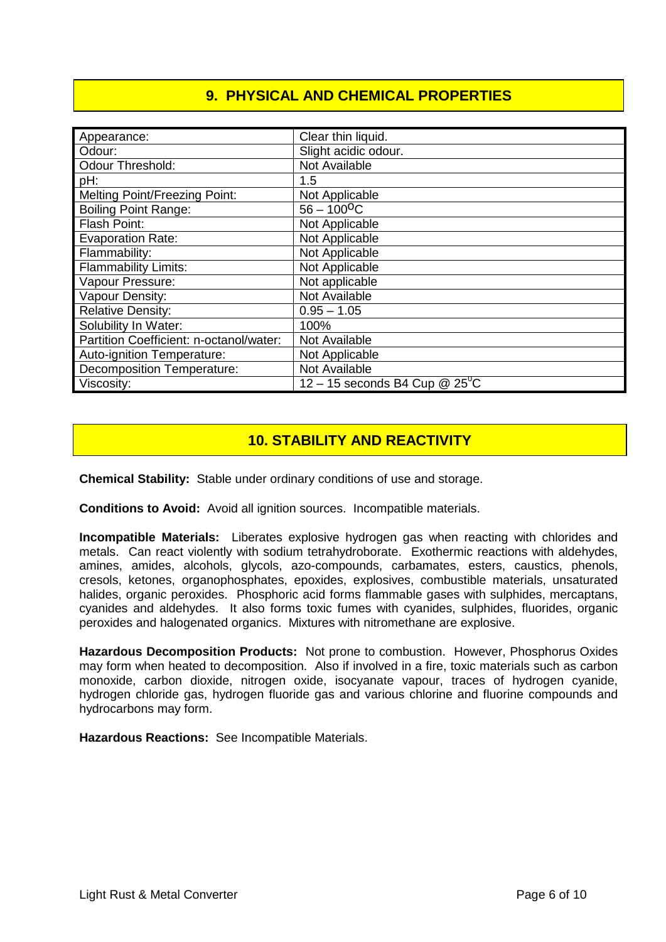## **9. PHYSICAL AND CHEMICAL PROPERTIES**

| Appearance:                             | Clear thin liquid.                     |
|-----------------------------------------|----------------------------------------|
| Odour:                                  | Slight acidic odour.                   |
| <b>Odour Threshold:</b>                 | Not Available                          |
| pH:                                     | 1.5                                    |
| <b>Melting Point/Freezing Point:</b>    | Not Applicable                         |
| <b>Boiling Point Range:</b>             | $56 - 100$ <sup>O</sup> C              |
| Flash Point:                            | Not Applicable                         |
| <b>Evaporation Rate:</b>                | Not Applicable                         |
| Flammability:                           | Not Applicable                         |
| <b>Flammability Limits:</b>             | Not Applicable                         |
| Vapour Pressure:                        | Not applicable                         |
| Vapour Density:                         | Not Available                          |
| <b>Relative Density:</b>                | $0.95 - 1.05$                          |
| Solubility In Water:                    | 100%                                   |
| Partition Coefficient: n-octanol/water: | Not Available                          |
| Auto-ignition Temperature:              | Not Applicable                         |
| <b>Decomposition Temperature:</b>       | Not Available                          |
| Viscosity:                              | 12 – 15 seconds B4 Cup $@25^{\circ}$ C |

## **10. STABILITY AND REACTIVITY**

**Chemical Stability:** Stable under ordinary conditions of use and storage.

**Conditions to Avoid:** Avoid all ignition sources. Incompatible materials.

**Incompatible Materials:** Liberates explosive hydrogen gas when reacting with chlorides and metals. Can react violently with sodium tetrahydroborate. Exothermic reactions with aldehydes, amines, amides, alcohols, glycols, azo-compounds, carbamates, esters, caustics, phenols, cresols, ketones, organophosphates, epoxides, explosives, combustible materials, unsaturated halides, organic peroxides. Phosphoric acid forms flammable gases with sulphides, mercaptans, cyanides and aldehydes. It also forms toxic fumes with cyanides, sulphides, fluorides, organic peroxides and halogenated organics. Mixtures with nitromethane are explosive.

**Hazardous Decomposition Products:** Not prone to combustion. However, Phosphorus Oxides may form when heated to decomposition. Also if involved in a fire, toxic materials such as carbon monoxide, carbon dioxide, nitrogen oxide, isocyanate vapour, traces of hydrogen cyanide, hydrogen chloride gas, hydrogen fluoride gas and various chlorine and fluorine compounds and hydrocarbons may form.

**Hazardous Reactions:** See Incompatible Materials.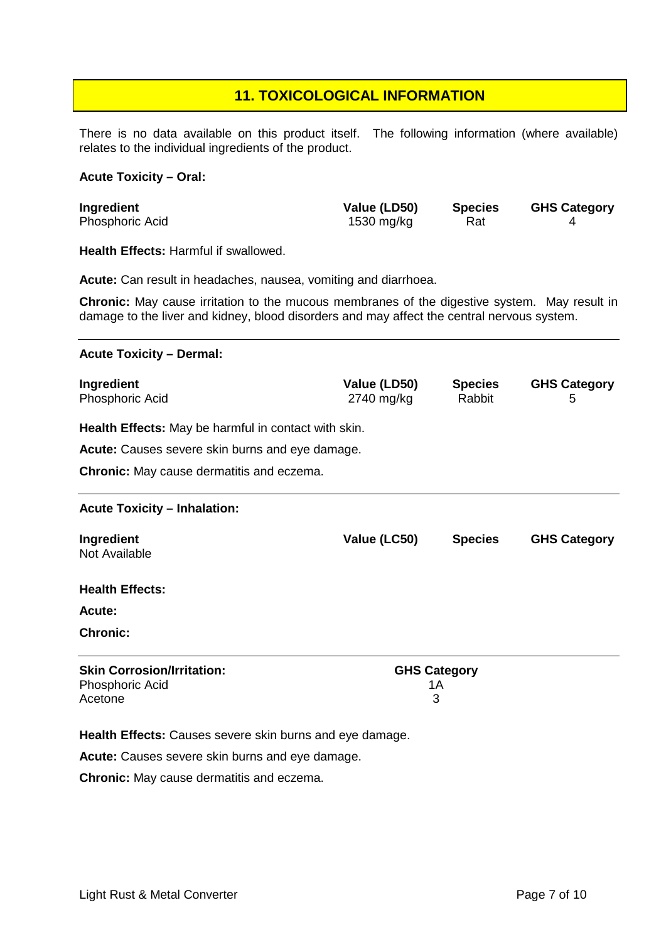#### **11. TOXICOLOGICAL INFORMATION**

There is no data available on this product itself. The following information (where available) relates to the individual ingredients of the product.

#### **Acute Toxicity – Oral:**

| Ingredient             | Value (LD50) | <b>Species</b> | <b>GHS Category</b> |
|------------------------|--------------|----------------|---------------------|
| <b>Phosphoric Acid</b> | 1530 mg/kg   | Rat            |                     |

**Health Effects:** Harmful if swallowed.

**Acute:** Can result in headaches, nausea, vomiting and diarrhoea.

**Chronic:** May cause irritation to the mucous membranes of the digestive system. May result in damage to the liver and kidney, blood disorders and may affect the central nervous system.

## **Acute Toxicity – Dermal: Ingredient**<br> **Phosphoric Acid**<br> **Phosphoric Acid**<br> **Phosphoric Acid**<br> **Phosphoric Acid**<br> **Phosphoric Acid**<br> **Phosphoric Acid**<br> **Phosphoric Acid**<br> **Phosphoric Acid**<br> **Phosphoric Acid**<br> **Phosphoric Acid**<br> **Phosphoric Acid**<br> Phosphoric Acid **2740 mg/kg Rabbit** 5 **Health Effects:** May be harmful in contact with skin. **Acute:** Causes severe skin burns and eye damage. **Chronic:** May cause dermatitis and eczema. **Acute Toxicity – Inhalation: Ingredient Value (LC50) Species GHS Category** Not Available **Health Effects: Acute: Chronic: Skin Corrosion/Irritation: GHS Category** Phosphoric Acid 1A<br>Acetone 14 Acetone 3

**Health Effects:** Causes severe skin burns and eye damage.

**Acute:** Causes severe skin burns and eye damage.

**Chronic:** May cause dermatitis and eczema.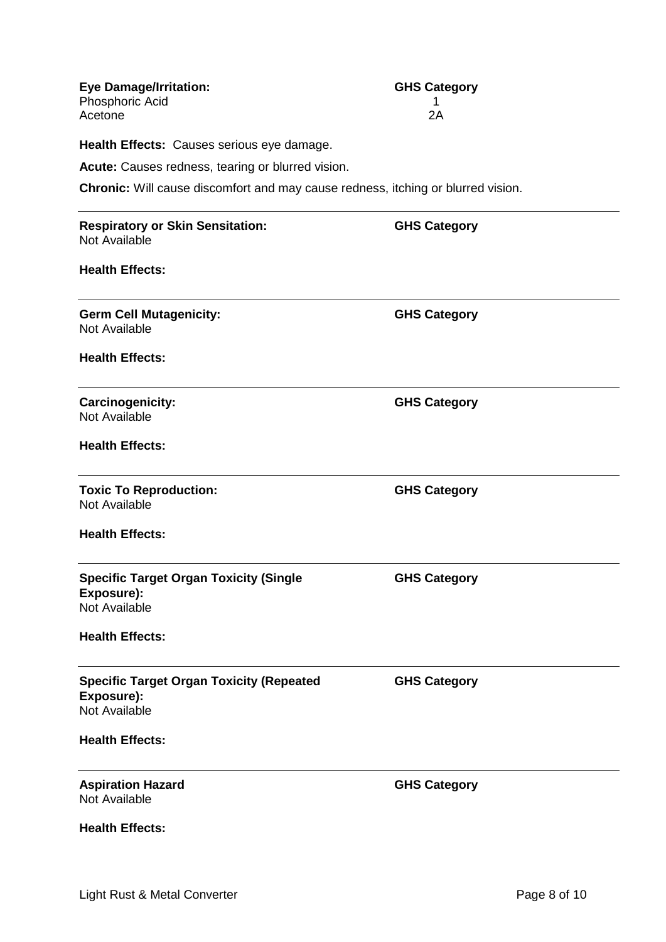| <b>Eye Damage/Irritation:</b>                                                           | <b>GHS Category</b> |  |
|-----------------------------------------------------------------------------------------|---------------------|--|
| Phosphoric Acid<br>Acetone                                                              | 2A                  |  |
|                                                                                         |                     |  |
| Health Effects: Causes serious eye damage.                                              |                     |  |
| Acute: Causes redness, tearing or blurred vision.                                       |                     |  |
| <b>Chronic:</b> Will cause discomfort and may cause redness, itching or blurred vision. |                     |  |
| <b>Respiratory or Skin Sensitation:</b><br>Not Available                                | <b>GHS Category</b> |  |
| <b>Health Effects:</b>                                                                  |                     |  |
| <b>Germ Cell Mutagenicity:</b><br>Not Available                                         | <b>GHS Category</b> |  |
| <b>Health Effects:</b>                                                                  |                     |  |
| Carcinogenicity:<br>Not Available                                                       | <b>GHS Category</b> |  |
| <b>Health Effects:</b>                                                                  |                     |  |
| <b>Toxic To Reproduction:</b><br>Not Available                                          | <b>GHS Category</b> |  |
| <b>Health Effects:</b>                                                                  |                     |  |
| <b>Specific Target Organ Toxicity (Single</b><br>Exposure):<br><b>Not Available</b>     | <b>GHS Category</b> |  |
| <b>Health Effects:</b>                                                                  |                     |  |
| <b>Specific Target Organ Toxicity (Repeated</b><br>Exposure):<br>Not Available          | <b>GHS Category</b> |  |
| <b>Health Effects:</b>                                                                  |                     |  |
| <b>Aspiration Hazard</b><br>Not Available                                               | <b>GHS Category</b> |  |
| <b>Health Effects:</b>                                                                  |                     |  |
|                                                                                         |                     |  |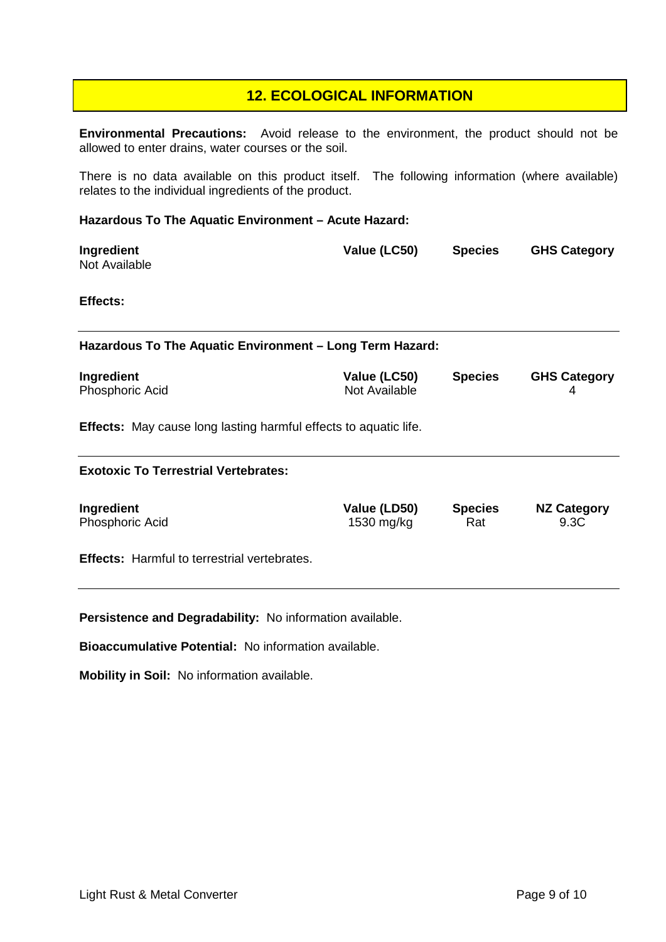#### **12. ECOLOGICAL INFORMATION**

**Environmental Precautions:** Avoid release to the environment, the product should not be allowed to enter drains, water courses or the soil.

There is no data available on this product itself. The following information (where available) relates to the individual ingredients of the product.

#### **Hazardous To The Aquatic Environment – Acute Hazard:**

| Ingredient    | Value (LC50) | <b>Species</b> | <b>GHS Category</b> |
|---------------|--------------|----------------|---------------------|
| Not Available |              |                |                     |

#### **Effects:**

**Hazardous To The Aquatic Environment – Long Term Hazard:**

| Ingredient             | Value (LC50)  | <b>Species</b> | <b>GHS Category</b> |
|------------------------|---------------|----------------|---------------------|
| <b>Phosphoric Acid</b> | Not Available |                |                     |

**Effects:** May cause long lasting harmful effects to aquatic life.

#### **Exotoxic To Terrestrial Vertebrates:**

| Ingredient      | Value (LD50) | <b>Species</b> | <b>NZ Category</b> |
|-----------------|--------------|----------------|--------------------|
| Phosphoric Acid | 1530 mg/kg   | Rat            | 9.3C               |
|                 |              |                |                    |

**Effects:** Harmful to terrestrial vertebrates.

**Persistence and Degradability:** No information available.

**Bioaccumulative Potential:** No information available.

**Mobility in Soil:** No information available.